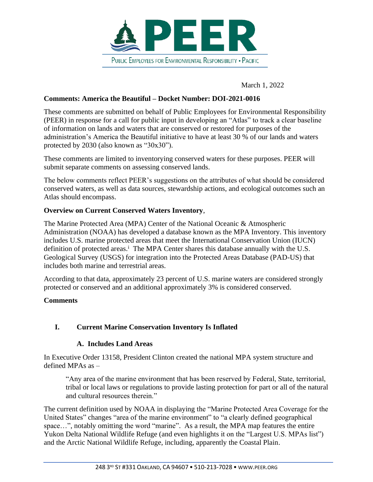

March 1, 2022

#### **Comments: America the Beautiful – Docket Number: DOI-2021-0016**

These comments are submitted on behalf of Public Employees for Environmental Responsibility (PEER) in response for a call for public input in developing an "Atlas" to track a clear baseline of information on lands and waters that are conserved or restored for purposes of the administration's America the Beautiful initiative to have at least 30 % of our lands and waters protected by 2030 (also known as "30x30").

These comments are limited to inventorying conserved waters for these purposes. PEER will submit separate comments on assessing conserved lands.

The below comments reflect PEER's suggestions on the attributes of what should be considered conserved waters, as well as data sources, stewardship actions, and ecological outcomes such an Atlas should encompass.

#### **Overview on Current Conserved Waters Inventory**,

The Marine Protected Area (MPA) Center of the National Oceanic & Atmospheric Administration (NOAA) has developed a database known as the MPA Inventory. This inventory includes U.S. marine protected areas that meet the International Conservation Union (IUCN) definition of protected areas.<sup>i</sup> The MPA Center shares this database annually with the U.S. Geological Survey (USGS) for integration into the Protected Areas Database (PAD-US) that includes both marine and terrestrial areas.

According to that data, approximately 23 percent of U.S. marine waters are considered strongly protected or conserved and an additional approximately 3% is considered conserved.

#### **Comments**

### **I. Current Marine Conservation Inventory Is Inflated**

#### **A. Includes Land Areas**

In Executive Order 13158, President Clinton created the national MPA system structure and defined MPAs as –

"Any area of the marine environment that has been reserved by Federal, State, territorial, tribal or local laws or regulations to provide lasting protection for part or all of the natural and cultural resources therein."

The current definition used by NOAA in displaying the "Marine Protected Area Coverage for the United States" changes "area of the marine environment" to "a clearly defined geographical space...", notably omitting the word "marine". As a result, the MPA map features the entire Yukon Delta National Wildlife Refuge (and even highlights it on the "Largest U.S. MPAs list") and the Arctic National Wildlife Refuge, including, apparently the Coastal Plain.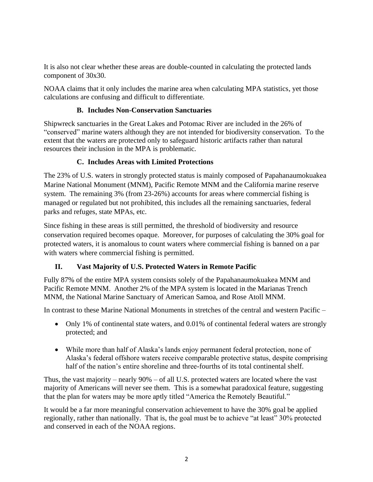It is also not clear whether these areas are double-counted in calculating the protected lands component of 30x30.

NOAA claims that it only includes the marine area when calculating MPA statistics, yet those calculations are confusing and difficult to differentiate.

### **B. Includes Non-Conservation Sanctuaries**

Shipwreck sanctuaries in the Great Lakes and Potomac River are included in the 26% of "conserved" marine waters although they are not intended for biodiversity conservation. To the extent that the waters are protected only to safeguard historic artifacts rather than natural resources their inclusion in the MPA is problematic.

### **C. Includes Areas with Limited Protections**

The 23% of U.S. waters in strongly protected status is mainly composed of Papahanaumokuakea Marine National Monument (MNM), Pacific Remote MNM and the California marine reserve system. The remaining 3% (from 23-26%) accounts for areas where commercial fishing is managed or regulated but not prohibited, this includes all the remaining sanctuaries, federal parks and refuges, state MPAs, etc.

Since fishing in these areas is still permitted, the threshold of biodiversity and resource conservation required becomes opaque. Moreover, for purposes of calculating the 30% goal for protected waters, it is anomalous to count waters where commercial fishing is banned on a par with waters where commercial fishing is permitted.

# **II. Vast Majority of U.S. Protected Waters in Remote Pacific**

Fully 87% of the entire MPA system consists solely of the Papahanaumokuakea MNM and Pacific Remote MNM. Another 2% of the MPA system is located in the Marianas Trench MNM, the National Marine Sanctuary of American Samoa, and Rose Atoll MNM.

In contrast to these Marine National Monuments in stretches of the central and western Pacific –

- Only 1% of continental state waters, and 0.01% of continental federal waters are strongly protected; and
- While more than half of Alaska's lands enjoy permanent federal protection, none of Alaska's federal offshore waters receive comparable protective status, despite comprising half of the nation's entire shoreline and three-fourths of its total continental shelf.

Thus, the vast majority – nearly 90% – of all U.S. protected waters are located where the vast majority of Americans will never see them. This is a somewhat paradoxical feature, suggesting that the plan for waters may be more aptly titled "America the Remotely Beautiful."

It would be a far more meaningful conservation achievement to have the 30% goal be applied regionally, rather than nationally. That is, the goal must be to achieve "at least" 30% protected and conserved in each of the NOAA regions.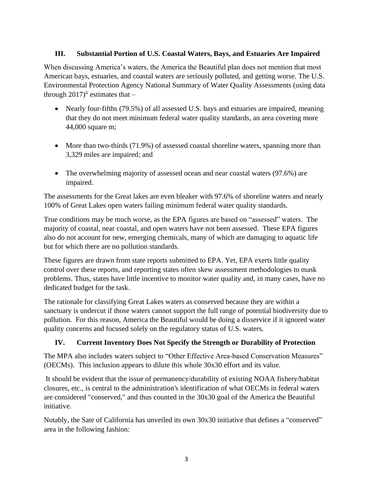### **III. Substantial Portion of U.S. Coastal Waters, Bays, and Estuaries Are Impaired**

When discussing America's waters, the America the Beautiful plan does not mention that most American bays, estuaries, and coastal waters are seriously polluted, and getting worse. The U.S. Environmental Protection Agency National Summary of Water Quality Assessments (using data through  $2017$ <sup>ii</sup> estimates that –

- Nearly four-fifths (79.5%) of all assessed U.S. bays and estuaries are impaired, meaning that they do not meet minimum federal water quality standards, an area covering more 44,000 square m;
- More than two-thirds (71.9%) of assessed coastal shoreline waters, spanning more than 3,329 miles are impaired; and
- The overwhelming majority of assessed ocean and near coastal waters (97.6%) are impaired.

The assessments for the Great lakes are even bleaker with 97.6% of shoreline waters and nearly 100% of Great Lakes open waters failing minimum federal water quality standards.

True conditions may be much worse, as the EPA figures are based on "assessed" waters. The majority of coastal, near coastal, and open waters have not been assessed. These EPA figures also do not account for new, emerging chemicals, many of which are damaging to aquatic life but for which there are no pollution standards.

These figures are drawn from state reports submitted to EPA. Yet, EPA exerts little quality control over these reports, and reporting states often skew assessment methodologies to mask problems. Thus, states have little incentive to monitor water quality and, in many cases, have no dedicated budget for the task.

The rationale for classifying Great Lakes waters as conserved because they are within a sanctuary is undercut if those waters cannot support the full range of potential biodiversity due to pollution. For this reason, America the Beautiful would be doing a disservice if it ignored water quality concerns and focused solely on the regulatory status of U.S. waters.

# **IV. Current Inventory Does Not Specify the Strength or Durability of Protection**

The MPA also includes waters subject to "Other Effective Area-based Conservation Measures" (OECMs). This inclusion appears to dilute this whole 30x30 effort and its value.

It should be evident that the issue of permanency/durability of existing NOAA fishery/habitat closures, etc., is central to the administration's identification of what OECMs in federal waters are considered "conserved," and thus counted in the 30x30 goal of the America the Beautiful initiative.

Notably, the Sate of California has unveiled its own 30x30 initiative that defines a "conserved" area in the following fashion: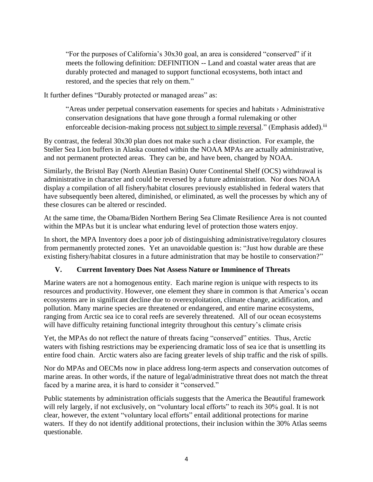"For the purposes of California's 30x30 goal, an area is considered "conserved" if it meets the following definition: DEFINITION -- Land and coastal water areas that are durably protected and managed to support functional ecosystems, both intact and restored, and the species that rely on them."

It further defines "Durably protected or managed areas" as:

"Areas under perpetual conservation easements for species and habitats › Administrative conservation designations that have gone through a formal rulemaking or other enforceable decision-making process not subject to simple reversal." (Emphasis added).<sup>iii</sup>

By contrast, the federal 30x30 plan does not make such a clear distinction. For example, the Steller Sea Lion buffers in Alaska counted within the NOAA MPAs are actually administrative, and not permanent protected areas. They can be, and have been, changed by NOAA.

Similarly, the Bristol Bay (North Aleutian Basin) Outer Continental Shelf (OCS) withdrawal is administrative in character and could be reversed by a future administration. Nor does NOAA display a compilation of all fishery/habitat closures previously established in federal waters that have subsequently been altered, diminished, or eliminated, as well the processes by which any of these closures can be altered or rescinded.

At the same time, the Obama/Biden Northern Bering Sea Climate Resilience Area is not counted within the MPAs but it is unclear what enduring level of protection those waters enjoy.

In short, the MPA Inventory does a poor job of distinguishing administrative/regulatory closures from permanently protected zones. Yet an unavoidable question is: "Just how durable are these existing fishery/habitat closures in a future administration that may be hostile to conservation?"

# **V. Current Inventory Does Not Assess Nature or Imminence of Threats**

Marine waters are not a homogenous entity. Each marine region is unique with respects to its resources and productivity. However, one element they share in common is that America's ocean ecosystems are in significant decline due to overexploitation, climate change, acidification, and pollution. Many marine species are threatened or endangered, and entire marine ecosystems, ranging from Arctic sea ice to coral reefs are severely threatened. All of our ocean ecosystems will have difficulty retaining functional integrity throughout this century's climate crisis

Yet, the MPAs do not reflect the nature of threats facing "conserved" entities. Thus, Arctic waters with fishing restrictions may be experiencing dramatic loss of sea ice that is unsettling its entire food chain. Arctic waters also are facing greater levels of ship traffic and the risk of spills.

Nor do MPAs and OECMs now in place address long-term aspects and conservation outcomes of marine areas. In other words, if the nature of legal/administrative threat does not match the threat faced by a marine area, it is hard to consider it "conserved."

Public statements by administration officials suggests that the America the Beautiful framework will rely largely, if not exclusively, on "voluntary local efforts" to reach its 30% goal. It is not clear, however, the extent "voluntary local efforts" entail additional protections for marine waters. If they do not identify additional protections, their inclusion within the 30% Atlas seems questionable.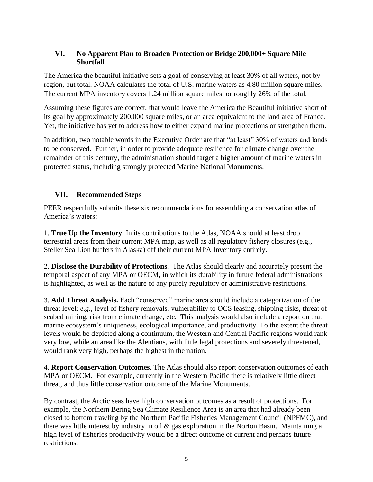#### **VI. No Apparent Plan to Broaden Protection or Bridge 200,000+ Square Mile Shortfall**

The America the beautiful initiative sets a goal of conserving at least 30% of all waters, not by region, but total. NOAA calculates the total of U.S. marine waters as 4.80 million square miles. The current MPA inventory covers 1.24 million square miles, or roughly 26% of the total.

Assuming these figures are correct, that would leave the America the Beautiful initiative short of its goal by approximately 200,000 square miles, or an area equivalent to the land area of France. Yet, the initiative has yet to address how to either expand marine protections or strengthen them.

In addition, two notable words in the Executive Order are that "at least" 30% of waters and lands to be conserved. Further, in order to provide adequate resilience for climate change over the remainder of this century, the administration should target a higher amount of marine waters in protected status, including strongly protected Marine National Monuments.

# **VII. Recommended Steps**

PEER respectfully submits these six recommendations for assembling a conservation atlas of America's waters:

1. **True Up the Inventory**. In its contributions to the Atlas, NOAA should at least drop terrestrial areas from their current MPA map, as well as all regulatory fishery closures (e.g., Steller Sea Lion buffers in Alaska) off their current MPA Inventory entirely.

2. **Disclose the Durability of Protections.** The Atlas should clearly and accurately present the temporal aspect of any MPA or OECM, in which its durability in future federal administrations is highlighted, as well as the nature of any purely regulatory or administrative restrictions.

3. **Add Threat Analysis.** Each "conserved" marine area should include a categorization of the threat level; *e.g.,* level of fishery removals, vulnerability to OCS leasing, shipping risks, threat of seabed mining, risk from climate change, etc. This analysis would also include a report on that marine ecosystem's uniqueness, ecological importance, and productivity. To the extent the threat levels would be depicted along a continuum, the Western and Central Pacific regions would rank very low, while an area like the Aleutians, with little legal protections and severely threatened, would rank very high, perhaps the highest in the nation.

4. **Report Conservation Outcomes**. The Atlas should also report conservation outcomes of each MPA or OECM. For example, currently in the Western Pacific there is relatively little direct threat, and thus little conservation outcome of the Marine Monuments.

By contrast, the Arctic seas have high conservation outcomes as a result of protections. For example, the Northern Bering Sea Climate Resilience Area is an area that had already been closed to bottom trawling by the Northern Pacific Fisheries Management Council (NPFMC), and there was little interest by industry in oil & gas exploration in the Norton Basin. Maintaining a high level of fisheries productivity would be a direct outcome of current and perhaps future restrictions.